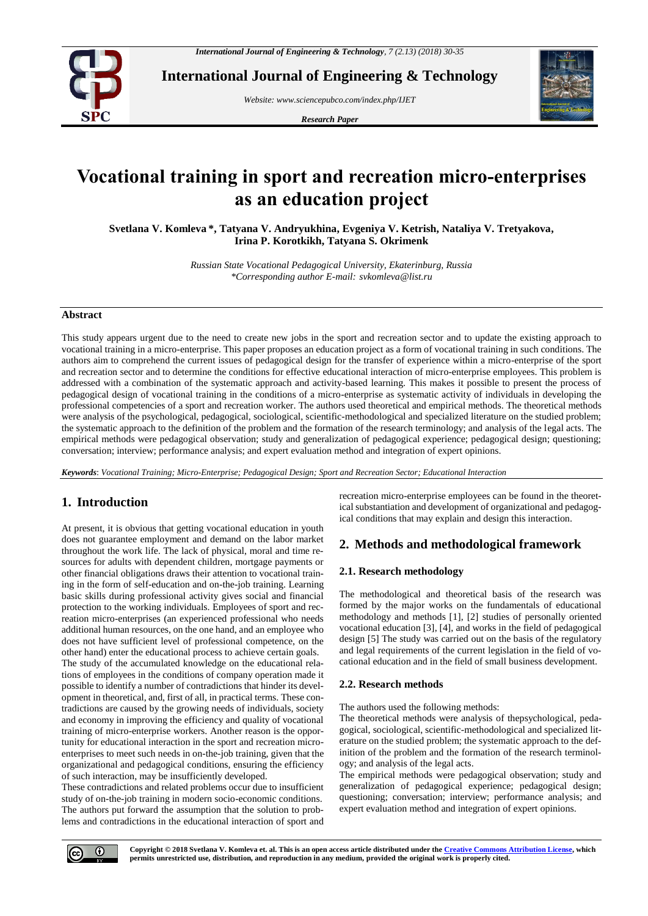

**International Journal of Engineering & Technology**

*Website: www.sciencepubco.com/index.php/IJET*

*Research Paper*



# **Vocational training in sport and recreation micro-enterprises as an education project**

**Svetlana V. Komleva \*, Tatyana V. Andryukhina, Evgeniya V. Ketrish, Nataliya V. Tretyakova, Irina P. Korotkikh, Tatyana S. Okrimenk**

> *Russian State Vocational Pedagogical University, Ekaterinburg, Russia \*Corresponding author E-mail: svkomleva@list.ru*

### **Abstract**

This study appears urgent due to the need to create new jobs in the sport and recreation sector and to update the existing approach to vocational training in a micro-enterprise. This paper proposes an education project as a form of vocational training in such conditions. The authors aim to comprehend the current issues of pedagogical design for the transfer of experience within a micro-enterprise of the sport and recreation sector and to determine the conditions for effective educational interaction of micro-enterprise employees. This problem is addressed with a combination of the systematic approach and activity-based learning. This makes it possible to present the process of pedagogical design of vocational training in the conditions of a micro-enterprise as systematic activity of individuals in developing the professional competencies of a sport and recreation worker. The authors used theoretical and empirical methods. The theoretical methods were analysis of the psychological, pedagogical, sociological, scientific-methodological and specialized literature on the studied problem; the systematic approach to the definition of the problem and the formation of the research terminology; and analysis of the legal acts. The empirical methods were pedagogical observation; study and generalization of pedagogical experience; pedagogical design; questioning; conversation; interview; performance analysis; and expert evaluation method and integration of expert opinions.

*Keywords*: *Vocational Training; Micro-Enterprise; Pedagogical Design; Sport and Recreation Sector; Educational Interaction*

# **1. Introduction**

At present, it is obvious that getting vocational education in youth does not guarantee employment and demand on the labor market throughout the work life. The lack of physical, moral and time resources for adults with dependent children, mortgage payments or other financial obligations draws their attention to vocational training in the form of self-education and on-the-job training. Learning basic skills during professional activity gives social and financial protection to the working individuals. Employees of sport and recreation micro-enterprises (an experienced professional who needs additional human resources, on the one hand, and an employee who does not have sufficient level of professional competence, on the other hand) enter the educational process to achieve certain goals. The study of the accumulated knowledge on the educational relations of employees in the conditions of company operation made it possible to identify a number of contradictions that hinder its development in theoretical, and, first of all, in practical terms. These contradictions are caused by the growing needs of individuals, society and economy in improving the efficiency and quality of vocational training of micro-enterprise workers. Another reason is the opportunity for educational interaction in the sport and recreation microenterprises to meet such needs in on-the-job training, given that the organizational and pedagogical conditions, ensuring the efficiency of such interaction, may be insufficiently developed.

These contradictions and related problems occur due to insufficient study of on-the-job training in modern socio-economic conditions. The authors put forward the assumption that the solution to problems and contradictions in the educational interaction of sport and

recreation micro-enterprise employees can be found in the theoretical substantiation and development of organizational and pedagogical conditions that may explain and design this interaction.

## **2. Methods and methodological framework**

#### **2.1. Research methodology**

The methodological and theoretical basis of the research was formed by the major works on the fundamentals of educational methodology and methods [1], [2] studies of personally oriented vocational education [3], [4], and works in the field of pedagogical design [5] The study was carried out on the basis of the regulatory and legal requirements of the current legislation in the field of vocational education and in the field of small business development.

#### **2.2. Research methods**

The authors used the following methods:

The theoretical methods were analysis of thepsychological, pedagogical, sociological, scientific-methodological and specialized literature on the studied problem; the systematic approach to the definition of the problem and the formation of the research terminology; and analysis of the legal acts.

The empirical methods were pedagogical observation; study and generalization of pedagogical experience; pedagogical design; questioning; conversation; interview; performance analysis; and expert evaluation method and integration of expert opinions.

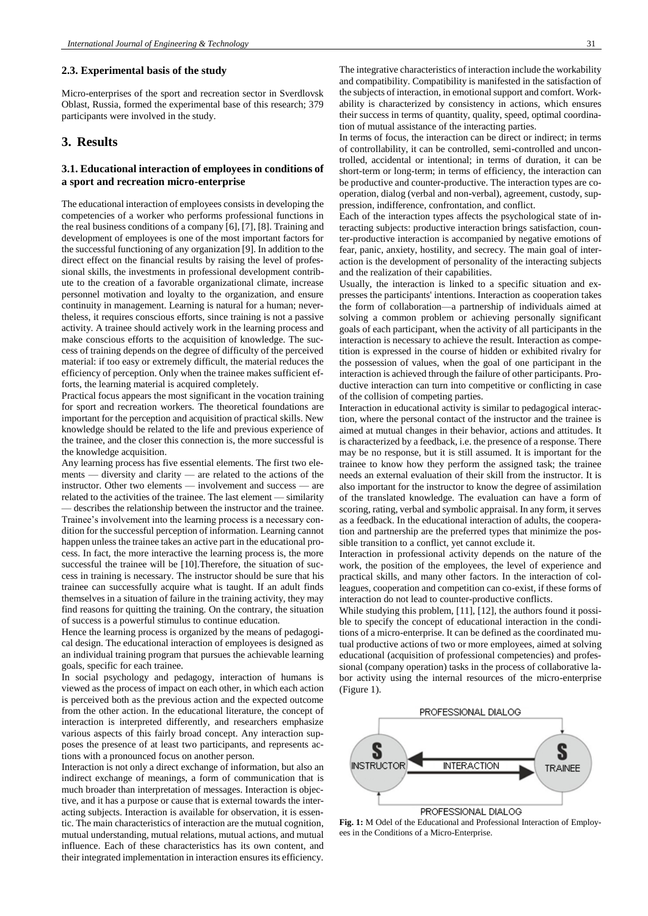#### **2.3. Experimental basis of the study**

Micro-enterprises of the sport and recreation sector in Sverdlovsk Oblast, Russia, formed the experimental base of this research; 379 participants were involved in the study.

#### **3. Results**

#### **3.1. Educational interaction of employees in conditions of a sport and recreation micro-enterprise**

The educational interaction of employees consists in developing the competencies of a worker who performs professional functions in the real business conditions of a company [6], [7], [8]. Training and development of employees is one of the most important factors for the successful functioning of any organization [9]. In addition to the direct effect on the financial results by raising the level of professional skills, the investments in professional development contribute to the creation of a favorable organizational climate, increase personnel motivation and loyalty to the organization, and ensure continuity in management. Learning is natural for a human; nevertheless, it requires conscious efforts, since training is not a passive activity. A trainee should actively work in the learning process and make conscious efforts to the acquisition of knowledge. The success of training depends on the degree of difficulty of the perceived material: if too easy or extremely difficult, the material reduces the efficiency of perception. Only when the trainee makes sufficient efforts, the learning material is acquired completely.

Practical focus appears the most significant in the vocation training for sport and recreation workers. The theoretical foundations are important for the perception and acquisition of practical skills. New knowledge should be related to the life and previous experience of the trainee, and the closer this connection is, the more successful is the knowledge acquisition.

Any learning process has five essential elements. The first two elements — diversity and clarity — are related to the actions of the instructor. Other two elements — involvement and success — are related to the activities of the trainee. The last element — similarity — describes the relationship between the instructor and the trainee. Trainee's involvement into the learning process is a necessary condition for the successful perception of information. Learning cannot happen unless the trainee takes an active part in the educational process. In fact, the more interactive the learning process is, the more successful the trainee will be [10].Therefore, the situation of success in training is necessary. The instructor should be sure that his trainee can successfully acquire what is taught. If an adult finds themselves in a situation of failure in the training activity, they may find reasons for quitting the training. On the contrary, the situation of success is a powerful stimulus to continue education.

Hence the learning process is organized by the means of pedagogical design. The educational interaction of employees is designed as an individual training program that pursues the achievable learning goals, specific for each trainee.

In social psychology and pedagogy, interaction of humans is viewed as the process of impact on each other, in which each action is perceived both as the previous action and the expected outcome from the other action. In the educational literature, the concept of interaction is interpreted differently, and researchers emphasize various aspects of this fairly broad concept. Any interaction supposes the presence of at least two participants, and represents actions with a pronounced focus on another person.

Interaction is not only a direct exchange of information, but also an indirect exchange of meanings, a form of communication that is much broader than interpretation of messages. Interaction is objective, and it has a purpose or cause that is external towards the interacting subjects. Interaction is available for observation, it is essentic. The main characteristics of interaction are the mutual cognition, mutual understanding, mutual relations, mutual actions, and mutual influence. Each of these characteristics has its own content, and their integrated implementation in interaction ensures its efficiency. The integrative characteristics of interaction include the workability and compatibility. Compatibility is manifested in the satisfaction of the subjects of interaction, in emotional support and comfort. Workability is characterized by consistency in actions, which ensures their success in terms of quantity, quality, speed, optimal coordination of mutual assistance of the interacting parties.

In terms of focus, the interaction can be direct or indirect; in terms of controllability, it can be controlled, semi-controlled and uncontrolled, accidental or intentional; in terms of duration, it can be short-term or long-term; in terms of efficiency, the interaction can be productive and counter-productive. The interaction types are cooperation, dialog (verbal and non-verbal), agreement, custody, suppression, indifference, confrontation, and conflict.

Each of the interaction types affects the psychological state of interacting subjects: productive interaction brings satisfaction, counter-productive interaction is accompanied by negative emotions of fear, panic, anxiety, hostility, and secrecy. The main goal of interaction is the development of personality of the interacting subjects and the realization of their capabilities.

Usually, the interaction is linked to a specific situation and expresses the participants' intentions. Interaction as cooperation takes the form of collaboration—a partnership of individuals aimed at solving a common problem or achieving personally significant goals of each participant, when the activity of all participants in the interaction is necessary to achieve the result. Interaction as competition is expressed in the course of hidden or exhibited rivalry for the possession of values, when the goal of one participant in the interaction is achieved through the failure of other participants. Productive interaction can turn into competitive or conflicting in case of the collision of competing parties.

Interaction in educational activity is similar to pedagogical interaction, where the personal contact of the instructor and the trainee is aimed at mutual changes in their behavior, actions and attitudes. It is characterized by a feedback, i.e. the presence of a response. There may be no response, but it is still assumed. It is important for the trainee to know how they perform the assigned task; the trainee needs an external evaluation of their skill from the instructor. It is also important for the instructor to know the degree of assimilation of the translated knowledge. The evaluation can have a form of scoring, rating, verbal and symbolic appraisal. In any form, it serves as a feedback. In the educational interaction of adults, the cooperation and partnership are the preferred types that minimize the possible transition to a conflict, yet cannot exclude it.

Interaction in professional activity depends on the nature of the work, the position of the employees, the level of experience and practical skills, and many other factors. In the interaction of colleagues, cooperation and competition can co-exist, if these forms of interaction do not lead to counter-productive conflicts.

While studying this problem, [11], [12], the authors found it possible to specify the concept of educational interaction in the conditions of a micro-enterprise. It can be defined as the coordinated mutual productive actions of two or more employees, aimed at solving educational (acquisition of professional competencies) and professional (company operation) tasks in the process of collaborative labor activity using the internal resources of the micro-enterprise (Figure 1).



**Fig. 1:** M Odel of the Educational and Professional Interaction of Employees in the Conditions of a Micro-Enterprise.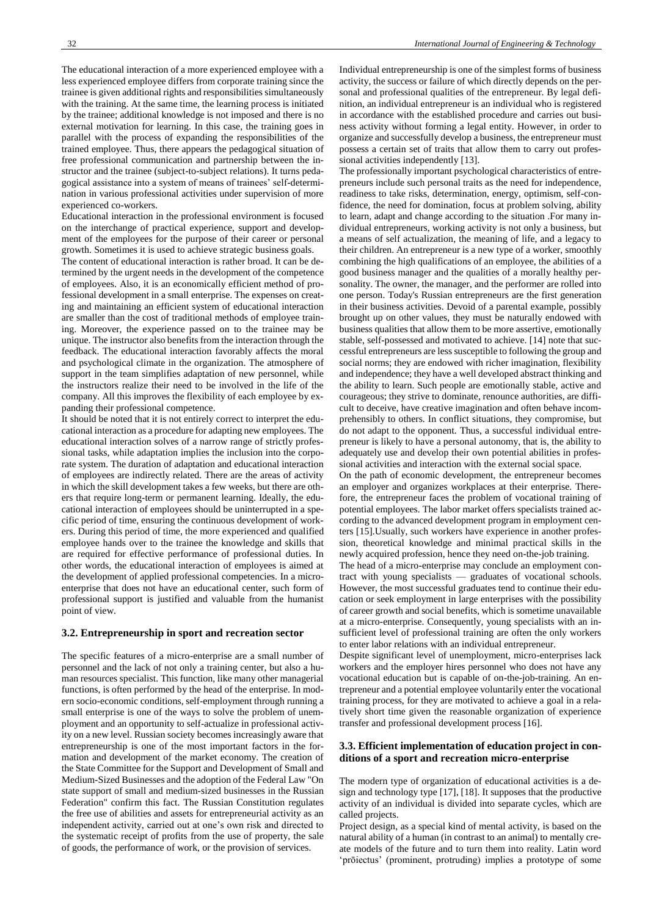The educational interaction of a more experienced employee with a less experienced employee differs from corporate training since the trainee is given additional rights and responsibilities simultaneously with the training. At the same time, the learning process is initiated by the trainee; additional knowledge is not imposed and there is no external motivation for learning. In this case, the training goes in parallel with the process of expanding the responsibilities of the trained employee. Thus, there appears the pedagogical situation of free professional communication and partnership between the instructor and the trainee (subject-to-subject relations). It turns pedagogical assistance into a system of means of trainees' self-determination in various professional activities under supervision of more experienced co-workers.

Educational interaction in the professional environment is focused on the interchange of practical experience, support and development of the employees for the purpose of their career or personal growth. Sometimes it is used to achieve strategic business goals.

The content of educational interaction is rather broad. It can be determined by the urgent needs in the development of the competence of employees. Also, it is an economically efficient method of professional development in a small enterprise. The expenses on creating and maintaining an efficient system of educational interaction are smaller than the cost of traditional methods of employee training. Moreover, the experience passed on to the trainee may be unique. The instructor also benefits from the interaction through the feedback. The educational interaction favorably affects the moral and psychological climate in the organization. The atmosphere of support in the team simplifies adaptation of new personnel, while the instructors realize their need to be involved in the life of the company. All this improves the flexibility of each employee by expanding their professional competence.

It should be noted that it is not entirely correct to interpret the educational interaction as a procedure for adapting new employees. The educational interaction solves of a narrow range of strictly professional tasks, while adaptation implies the inclusion into the corporate system. The duration of adaptation and educational interaction of employees are indirectly related. There are the areas of activity in which the skill development takes a few weeks, but there are others that require long-term or permanent learning. Ideally, the educational interaction of employees should be uninterrupted in a specific period of time, ensuring the continuous development of workers. During this period of time, the more experienced and qualified employee hands over to the trainee the knowledge and skills that are required for effective performance of professional duties. In other words, the educational interaction of employees is aimed at the development of applied professional competencies. In a microenterprise that does not have an educational center, such form of professional support is justified and valuable from the humanist point of view.

#### **3.2. Entrepreneurship in sport and recreation sector**

The specific features of a micro-enterprise are a small number of personnel and the lack of not only a training center, but also a human resources specialist. This function, like many other managerial functions, is often performed by the head of the enterprise. In modern socio-economic conditions, self-employment through running a small enterprise is one of the ways to solve the problem of unemployment and an opportunity to self-actualize in professional activity on a new level. Russian society becomes increasingly aware that entrepreneurship is one of the most important factors in the formation and development of the market economy. The creation of the State Committee for the Support and Development of Small and Medium-Sized Businesses and the adoption of the Federal Law "On state support of small and medium-sized businesses in the Russian Federation" confirm this fact. The Russian Constitution regulates the free use of abilities and assets for entrepreneurial activity as an independent activity, carried out at one's own risk and directed to the systematic receipt of profits from the use of property, the sale of goods, the performance of work, or the provision of services.

Individual entrepreneurship is one of the simplest forms of business activity, the success or failure of which directly depends on the personal and professional qualities of the entrepreneur. By legal definition, an individual entrepreneur is an individual who is registered in accordance with the established procedure and carries out business activity without forming a legal entity. However, in order to organize and successfully develop a business, the entrepreneur must possess a certain set of traits that allow them to carry out professional activities independently [13].

The professionally important psychological characteristics of entrepreneurs include such personal traits as the need for independence, readiness to take risks, determination, energy, optimism, self-confidence, the need for domination, focus at problem solving, ability to learn, adapt and change according to the situation .For many individual entrepreneurs, working activity is not only a business, but a means of self actualization, the meaning of life, and a legacy to their children. An entrepreneur is a new type of a worker, smoothly combining the high qualifications of an employee, the abilities of a good business manager and the qualities of a morally healthy personality. The owner, the manager, and the performer are rolled into one person. Today's Russian entrepreneurs are the first generation in their business activities. Devoid of a parental example, possibly brought up on other values, they must be naturally endowed with business qualities that allow them to be more assertive, emotionally stable, self-possessed and motivated to achieve. [14] note that successful entrepreneurs are less susceptible to following the group and social norms; they are endowed with richer imagination, flexibility and independence; they have a well developed abstract thinking and the ability to learn. Such people are emotionally stable, active and courageous; they strive to dominate, renounce authorities, are difficult to deceive, have creative imagination and often behave incomprehensibly to others. In conflict situations, they compromise, but do not adapt to the opponent. Thus, a successful individual entrepreneur is likely to have a personal autonomy, that is, the ability to adequately use and develop their own potential abilities in professional activities and interaction with the external social space.

On the path of economic development, the entrepreneur becomes an employer and organizes workplaces at their enterprise. Therefore, the entrepreneur faces the problem of vocational training of potential employees. The labor market offers specialists trained according to the advanced development program in employment centers [15].Usually, such workers have experience in another profession, theoretical knowledge and minimal practical skills in the newly acquired profession, hence they need on-the-job training.

The head of a micro-enterprise may conclude an employment contract with young specialists — graduates of vocational schools. However, the most successful graduates tend to continue their education or seek employment in large enterprises with the possibility of career growth and social benefits, which is sometime unavailable at a micro-enterprise. Consequently, young specialists with an insufficient level of professional training are often the only workers to enter labor relations with an individual entrepreneur.

Despite significant level of unemployment, micro-enterprises lack workers and the employer hires personnel who does not have any vocational education but is capable of on-the-job-training. An entrepreneur and a potential employee voluntarily enter the vocational training process, for they are motivated to achieve a goal in a relatively short time given the reasonable organization of experience transfer and professional development process [16].

#### **3.3. Efficient implementation of education project in conditions of a sport and recreation micro-enterprise**

The modern type of organization of educational activities is a design and technology type [17], [18]. It supposes that the productive activity of an individual is divided into separate cycles, which are called projects.

Project design, as a special kind of mental activity, is based on the natural ability of a human (in contrast to an animal) to mentally create models of the future and to turn them into reality. Latin word 'prōiectus' (prominent, protruding) implies a prototype of some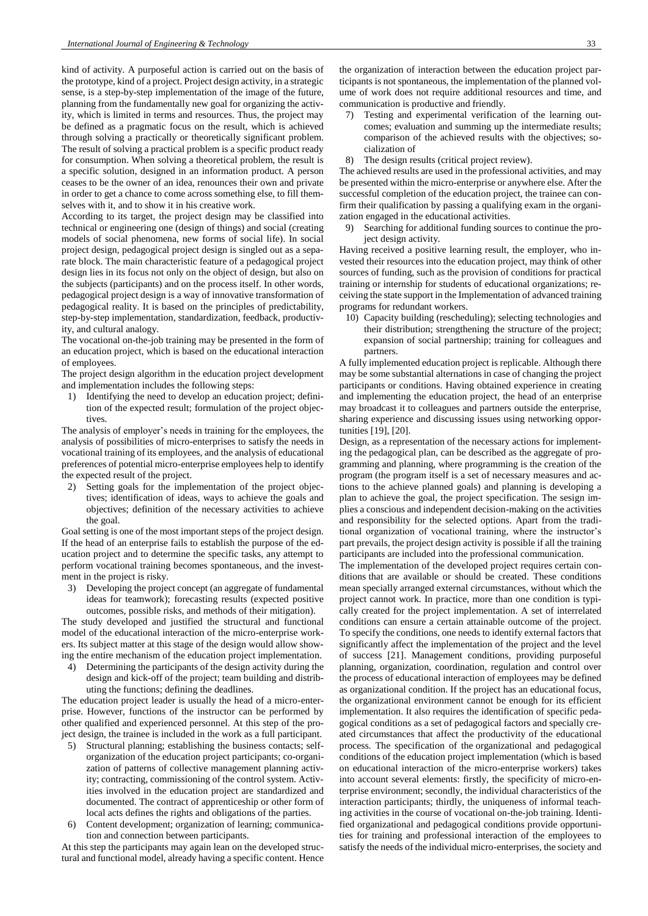kind of activity. A purposeful action is carried out on the basis of the prototype, kind of a project. Project design activity, in a strategic sense, is a step-by-step implementation of the image of the future, planning from the fundamentally new goal for organizing the activity, which is limited in terms and resources. Thus, the project may be defined as a pragmatic focus on the result, which is achieved through solving a practically or theoretically significant problem. The result of solving a practical problem is a specific product ready for consumption. When solving a theoretical problem, the result is a specific solution, designed in an information product. A person ceases to be the owner of an idea, renounces their own and private in order to get a chance to come across something else, to fill themselves with it, and to show it in his creative work.

According to its target, the project design may be classified into technical or engineering one (design of things) and social (creating models of social phenomena, new forms of social life). In social project design, pedagogical project design is singled out as a separate block. The main characteristic feature of a pedagogical project design lies in its focus not only on the object of design, but also on the subjects (participants) and on the process itself. In other words, pedagogical project design is a way of innovative transformation of pedagogical reality. It is based on the principles of predictability, step-by-step implementation, standardization, feedback, productivity, and cultural analogy.

The vocational on-the-job training may be presented in the form of an education project, which is based on the educational interaction of employees.

The project design algorithm in the education project development and implementation includes the following steps:

1) Identifying the need to develop an education project; definition of the expected result; formulation of the project objectives.

The analysis of employer's needs in training for the employees, the analysis of possibilities of micro-enterprises to satisfy the needs in vocational training of its employees, and the analysis of educational preferences of potential micro-enterprise employees help to identify the expected result of the project.

2) Setting goals for the implementation of the project objectives; identification of ideas, ways to achieve the goals and objectives; definition of the necessary activities to achieve the goal.

Goal setting is one of the most important steps of the project design. If the head of an enterprise fails to establish the purpose of the education project and to determine the specific tasks, any attempt to perform vocational training becomes spontaneous, and the investment in the project is risky.

3) Developing the project concept (an aggregate of fundamental ideas for teamwork); forecasting results (expected positive outcomes, possible risks, and methods of their mitigation).

The study developed and justified the structural and functional model of the educational interaction of the micro-enterprise workers. Its subject matter at this stage of the design would allow showing the entire mechanism of the education project implementation.

4) Determining the participants of the design activity during the design and kick-off of the project; team building and distributing the functions; defining the deadlines.

The education project leader is usually the head of a micro-enterprise. However, functions of the instructor can be performed by other qualified and experienced personnel. At this step of the project design, the trainee is included in the work as a full participant.

- 5) Structural planning; establishing the business contacts; selforganization of the education project participants; co-organization of patterns of collective management planning activity; contracting, commissioning of the control system. Activities involved in the education project are standardized and documented. The contract of apprenticeship or other form of local acts defines the rights and obligations of the parties.
- 6) Content development; organization of learning; communication and connection between participants.

At this step the participants may again lean on the developed structural and functional model, already having a specific content. Hence the organization of interaction between the education project participants is not spontaneous, the implementation of the planned volume of work does not require additional resources and time, and communication is productive and friendly.

- 7) Testing and experimental verification of the learning outcomes; evaluation and summing up the intermediate results; comparison of the achieved results with the objectives; socialization of
- 8) The design results (critical project review).

The achieved results are used in the professional activities, and may be presented within the micro-enterprise or anywhere else. After the successful completion of the education project, the trainee can confirm their qualification by passing a qualifying exam in the organization engaged in the educational activities.

9) Searching for additional funding sources to continue the project design activity.

Having received a positive learning result, the employer, who invested their resources into the education project, may think of other sources of funding, such as the provision of conditions for practical training or internship for students of educational organizations; receiving the state support in the Implementation of advanced training programs for redundant workers.

10) Capacity building (rescheduling); selecting technologies and their distribution; strengthening the structure of the project; expansion of social partnership; training for colleagues and partners.

A fully implemented education project is replicable. Although there may be some substantial alternations in case of changing the project participants or conditions. Having obtained experience in creating and implementing the education project, the head of an enterprise may broadcast it to colleagues and partners outside the enterprise, sharing experience and discussing issues using networking opportunities [19], [20].

Design, as a representation of the necessary actions for implementing the pedagogical plan, can be described as the aggregate of programming and planning, where programming is the creation of the program (the program itself is a set of necessary measures and actions to the achieve planned goals) and planning is developing a plan to achieve the goal, the project specification. The sesign implies a conscious and independent decision-making on the activities and responsibility for the selected options. Apart from the traditional organization of vocational training, where the instructor's part prevails, the project design activity is possible if all the training participants are included into the professional communication.

The implementation of the developed project requires certain conditions that are available or should be created. These conditions mean specially arranged external circumstances, without which the project cannot work. In practice, more than one condition is typically created for the project implementation. A set of interrelated conditions can ensure a certain attainable outcome of the project. To specify the conditions, one needs to identify external factors that significantly affect the implementation of the project and the level of success [21]. Management conditions, providing purposeful planning, organization, coordination, regulation and control over the process of educational interaction of employees may be defined as organizational condition. If the project has an educational focus, the organizational environment cannot be enough for its efficient implementation. It also requires the identification of specific pedagogical conditions as a set of pedagogical factors and specially created circumstances that affect the productivity of the educational process. The specification of the organizational and pedagogical conditions of the education project implementation (which is based on educational interaction of the micro-enterprise workers) takes into account several elements: firstly, the specificity of micro-enterprise environment; secondly, the individual characteristics of the interaction participants; thirdly, the uniqueness of informal teaching activities in the course of vocational on-the-job training. Identified organizational and pedagogical conditions provide opportunities for training and professional interaction of the employees to satisfy the needs of the individual micro-enterprises, the society and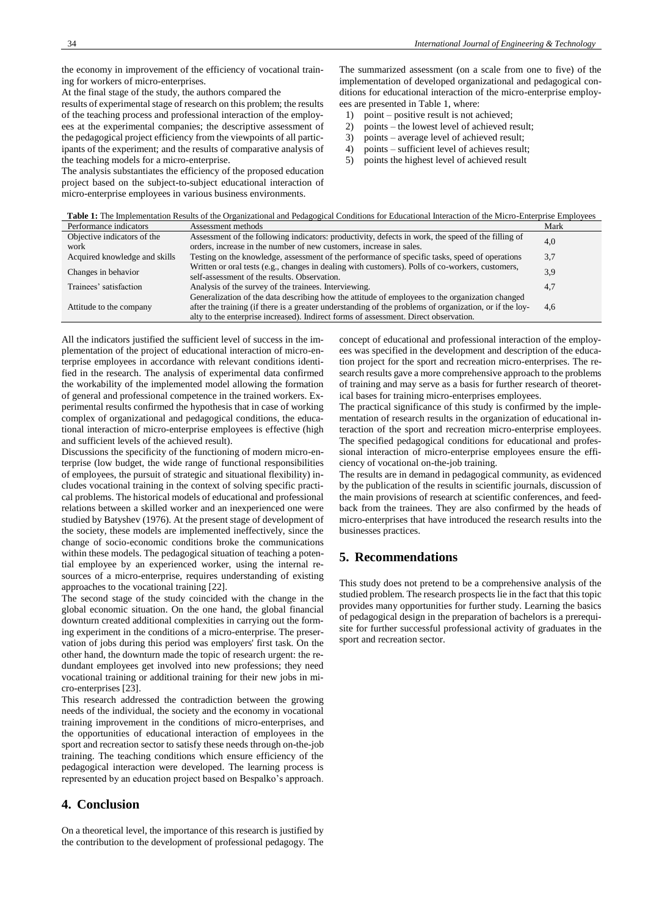the economy in improvement of the efficiency of vocational training for workers of micro-enterprises.

At the final stage of the study, the authors compared the

results of experimental stage of research on this problem; the results of the teaching process and professional interaction of the employees at the experimental companies; the descriptive assessment of the pedagogical project efficiency from the viewpoints of all participants of the experiment; and the results of comparative analysis of the teaching models for a micro-enterprise.

The analysis substantiates the efficiency of the proposed education project based on the subject-to-subject educational interaction of micro-enterprise employees in various business environments.

The summarized assessment (on a scale from one to five) of the implementation of developed organizational and pedagogical conditions for educational interaction of the micro-enterprise employees are presented in Table 1, where:

- 1) point positive result is not achieved;
- 2) points the lowest level of achieved result;<br>3) points average level of achieved result;
- 3) points average level of achieved result;<br>4) points sufficient level of achieves result
- 4) points sufficient level of achieves result;<br>5) points the highest level of achieved result
- 5) points the highest level of achieved result

**Table 1:** The Implementation Results of the Organizational and Pedagogical Conditions for Educational Interaction of the Micro-Enterprise Employees

| Performance indicators        | Assessment methods                                                                                      | Mark |
|-------------------------------|---------------------------------------------------------------------------------------------------------|------|
| Objective indicators of the   | Assessment of the following indicators: productivity, defects in work, the speed of the filling of      | 4,0  |
| work                          | orders, increase in the number of new customers, increase in sales.                                     |      |
| Acquired knowledge and skills | Testing on the knowledge, assessment of the performance of specific tasks, speed of operations          | 3,7  |
| Changes in behavior           | Written or oral tests (e.g., changes in dealing with customers). Polls of co-workers, customers,        | 3.9  |
|                               | self-assessment of the results. Observation.                                                            |      |
| Trainees' satisfaction        | Analysis of the survey of the trainees. Interviewing.                                                   | 4.7  |
|                               | Generalization of the data describing how the attitude of employees to the organization changed         |      |
| Attitude to the company       | after the training (if there is a greater understanding of the problems of organization, or if the loy- | 4,6  |
|                               | alty to the enterprise increased). Indirect forms of assessment. Direct observation.                    |      |
|                               |                                                                                                         |      |

All the indicators justified the sufficient level of success in the implementation of the project of educational interaction of micro-enterprise employees in accordance with relevant conditions identified in the research. The analysis of experimental data confirmed the workability of the implemented model allowing the formation of general and professional competence in the trained workers. Experimental results confirmed the hypothesis that in case of working complex of organizational and pedagogical conditions, the educational interaction of micro-enterprise employees is effective (high and sufficient levels of the achieved result).

Discussions the specificity of the functioning of modern micro-enterprise (low budget, the wide range of functional responsibilities of employees, the pursuit of strategic and situational flexibility) includes vocational training in the context of solving specific practical problems. The historical models of educational and professional relations between a skilled worker and an inexperienced one were studied by Batyshev (1976). At the present stage of development of the society, these models are implemented ineffectively, since the change of socio-economic conditions broke the communications within these models. The pedagogical situation of teaching a potential employee by an experienced worker, using the internal resources of a micro-enterprise, requires understanding of existing approaches to the vocational training [22].

The second stage of the study coincided with the change in the global economic situation. On the one hand, the global financial downturn created additional complexities in carrying out the forming experiment in the conditions of a micro-enterprise. The preservation of jobs during this period was employers' first task. On the other hand, the downturn made the topic of research urgent: the redundant employees get involved into new professions; they need vocational training or additional training for their new jobs in micro-enterprises [23].

This research addressed the contradiction between the growing needs of the individual, the society and the economy in vocational training improvement in the conditions of micro-enterprises, and the opportunities of educational interaction of employees in the sport and recreation sector to satisfy these needs through on-the-job training. The teaching conditions which ensure efficiency of the pedagogical interaction were developed. The learning process is represented by an education project based on Bespalko's approach.

## **4. Conclusion**

On a theoretical level, the importance of this research is justified by the contribution to the development of professional pedagogy. The concept of educational and professional interaction of the employees was specified in the development and description of the education project for the sport and recreation micro-enterprises. The research results gave a more comprehensive approach to the problems of training and may serve as a basis for further research of theoretical bases for training micro-enterprises employees.

The practical significance of this study is confirmed by the implementation of research results in the organization of educational interaction of the sport and recreation micro-enterprise employees. The specified pedagogical conditions for educational and professional interaction of micro-enterprise employees ensure the efficiency of vocational on-the-job training.

The results are in demand in pedagogical community, as evidenced by the publication of the results in scientific journals, discussion of the main provisions of research at scientific conferences, and feedback from the trainees. They are also confirmed by the heads of micro-enterprises that have introduced the research results into the businesses practices.

# **5. Recommendations**

This study does not pretend to be a comprehensive analysis of the studied problem. The research prospects lie in the fact that this topic provides many opportunities for further study. Learning the basics of pedagogical design in the preparation of bachelors is a prerequisite for further successful professional activity of graduates in the sport and recreation sector.